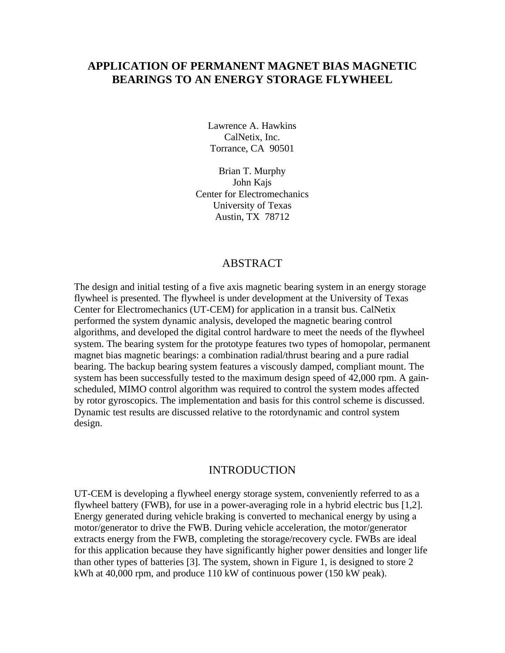# **APPLICATION OF PERMANENT MAGNET BIAS MAGNETIC BEARINGS TO AN ENERGY STORAGE FLYWHEEL**

Lawrence A. Hawkins CalNetix, Inc. Torrance, CA 90501

Brian T. Murphy John Kajs Center for Electromechanics University of Texas Austin, TX 78712

## ABSTRACT

The design and initial testing of a five axis magnetic bearing system in an energy storage flywheel is presented. The flywheel is under development at the University of Texas Center for Electromechanics (UT-CEM) for application in a transit bus. CalNetix performed the system dynamic analysis, developed the magnetic bearing control algorithms, and developed the digital control hardware to meet the needs of the flywheel system. The bearing system for the prototype features two types of homopolar, permanent magnet bias magnetic bearings: a combination radial/thrust bearing and a pure radial bearing. The backup bearing system features a viscously damped, compliant mount. The system has been successfully tested to the maximum design speed of 42,000 rpm. A gainscheduled, MIMO control algorithm was required to control the system modes affected by rotor gyroscopics. The implementation and basis for this control scheme is discussed. Dynamic test results are discussed relative to the rotordynamic and control system design.

### INTRODUCTION

UT-CEM is developing a flywheel energy storage system, conveniently referred to as a flywheel battery (FWB), for use in a power-averaging role in a hybrid electric bus [1,2]. Energy generated during vehicle braking is converted to mechanical energy by using a motor/generator to drive the FWB. During vehicle acceleration, the motor/generator extracts energy from the FWB, completing the storage/recovery cycle. FWBs are ideal for this application because they have significantly higher power densities and longer life than other types of batteries [3]. The system, shown in Figure 1, is designed to store 2 kWh at 40,000 rpm, and produce 110 kW of continuous power (150 kW peak).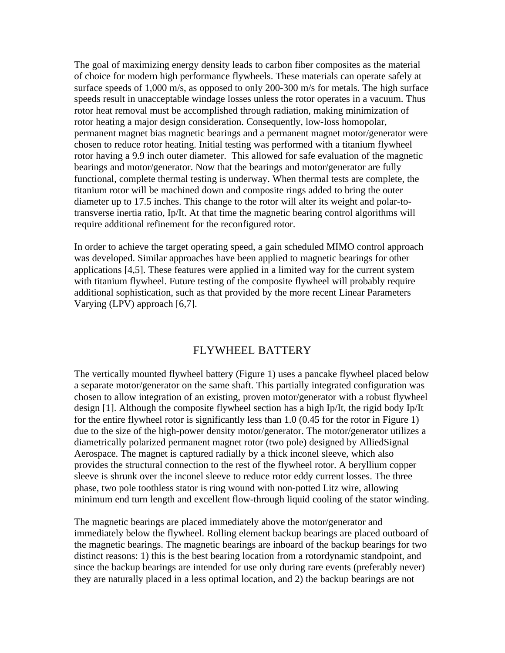The goal of maximizing energy density leads to carbon fiber composites as the material of choice for modern high performance flywheels. These materials can operate safely at surface speeds of 1,000 m/s, as opposed to only 200-300 m/s for metals. The high surface speeds result in unacceptable windage losses unless the rotor operates in a vacuum. Thus rotor heat removal must be accomplished through radiation, making minimization of rotor heating a major design consideration. Consequently, low-loss homopolar, permanent magnet bias magnetic bearings and a permanent magnet motor/generator were chosen to reduce rotor heating. Initial testing was performed with a titanium flywheel rotor having a 9.9 inch outer diameter. This allowed for safe evaluation of the magnetic bearings and motor/generator. Now that the bearings and motor/generator are fully functional, complete thermal testing is underway. When thermal tests are complete, the titanium rotor will be machined down and composite rings added to bring the outer diameter up to 17.5 inches. This change to the rotor will alter its weight and polar-totransverse inertia ratio, Ip/It. At that time the magnetic bearing control algorithms will require additional refinement for the reconfigured rotor.

In order to achieve the target operating speed, a gain scheduled MIMO control approach was developed. Similar approaches have been applied to magnetic bearings for other applications [4,5]. These features were applied in a limited way for the current system with titanium flywheel. Future testing of the composite flywheel will probably require additional sophistication, such as that provided by the more recent Linear Parameters Varying (LPV) approach [6,7].

## FLYWHEEL BATTERY

The vertically mounted flywheel battery (Figure 1) uses a pancake flywheel placed below a separate motor/generator on the same shaft. This partially integrated configuration was chosen to allow integration of an existing, proven motor/generator with a robust flywheel design [1]. Although the composite flywheel section has a high Ip/It, the rigid body Ip/It for the entire flywheel rotor is significantly less than 1.0 (0.45 for the rotor in Figure 1) due to the size of the high-power density motor/generator. The motor/generator utilizes a diametrically polarized permanent magnet rotor (two pole) designed by AlliedSignal Aerospace. The magnet is captured radially by a thick inconel sleeve, which also provides the structural connection to the rest of the flywheel rotor. A beryllium copper sleeve is shrunk over the inconel sleeve to reduce rotor eddy current losses. The three phase, two pole toothless stator is ring wound with non-potted Litz wire, allowing minimum end turn length and excellent flow-through liquid cooling of the stator winding.

The magnetic bearings are placed immediately above the motor/generator and immediately below the flywheel. Rolling element backup bearings are placed outboard of the magnetic bearings. The magnetic bearings are inboard of the backup bearings for two distinct reasons: 1) this is the best bearing location from a rotordynamic standpoint, and since the backup bearings are intended for use only during rare events (preferably never) they are naturally placed in a less optimal location, and 2) the backup bearings are not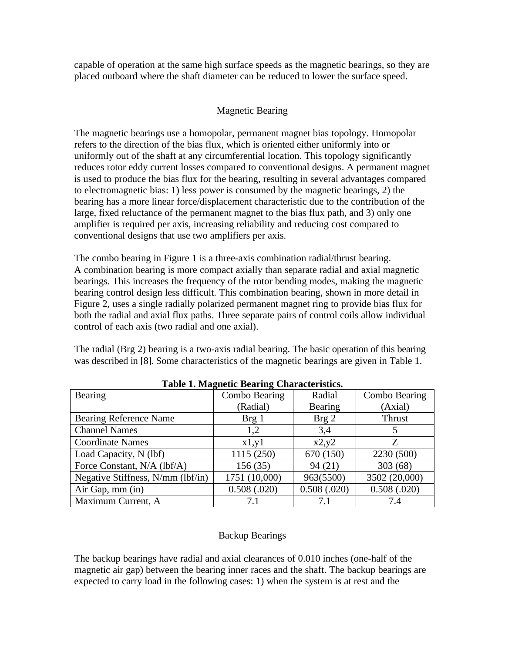capable of operation at the same high surface speeds as the magnetic bearings, so they are placed outboard where the shaft diameter can be reduced to lower the surface speed.

## Magnetic Bearing

The magnetic bearings use a homopolar, permanent magnet bias topology. Homopolar refers to the direction of the bias flux, which is oriented either uniformly into or uniformly out of the shaft at any circumferential location. This topology significantly reduces rotor eddy current losses compared to conventional designs. A permanent magnet is used to produce the bias flux for the bearing, resulting in several advantages compared to electromagnetic bias: 1) less power is consumed by the magnetic bearings, 2) the bearing has a more linear force/displacement characteristic due to the contribution of the large, fixed reluctance of the permanent magnet to the bias flux path, and 3) only one amplifier is required per axis, increasing reliability and reducing cost compared to conventional designs that use two amplifiers per axis.

The combo bearing in Figure 1 is a three-axis combination radial/thrust bearing. A combination bearing is more compact axially than separate radial and axial magnetic bearings. This increases the frequency of the rotor bending modes, making the magnetic bearing control design less difficult. This combination bearing, shown in more detail in Figure 2, uses a single radially polarized permanent magnet ring to provide bias flux for both the radial and axial flux paths. Three separate pairs of control coils allow individual control of each axis (two radial and one axial).

The radial (Brg 2) bearing is a two-axis radial bearing. The basic operation of this bearing was described in [8]. Some characteristics of the magnetic bearings are given in Table 1.

| Bearing                           | Combo Bearing    | Radial           | Combo Bearing |
|-----------------------------------|------------------|------------------|---------------|
|                                   | (Radial)         | Bearing          | (Axial)       |
| <b>Bearing Reference Name</b>     | Brg <sub>1</sub> | Brg <sub>2</sub> | Thrust        |
| <b>Channel Names</b>              | 1.2              | 3,4              | 5             |
| <b>Coordinate Names</b>           | x1,y1            | x2,y2            | Z             |
| Load Capacity, N (lbf)            | 1115 (250)       | 670 (150)        | 2230 (500)    |
| Force Constant, N/A (lbf/A)       | 156(35)          | 94(21)           | 303 (68)      |
| Negative Stiffness, N/mm (lbf/in) | 1751 (10,000)    | 963(5500)        | 3502 (20,000) |
| Air Gap, mm (in)                  | 0.508(.020)      | 0.508(.020)      | 0.508(.020)   |
| Maximum Current, A                |                  | 7.1              | 7.4           |

**Table 1. Magnetic Bearing Characteristics.**

## Backup Bearings

The backup bearings have radial and axial clearances of 0.010 inches (one-half of the magnetic air gap) between the bearing inner races and the shaft. The backup bearings are expected to carry load in the following cases: 1) when the system is at rest and the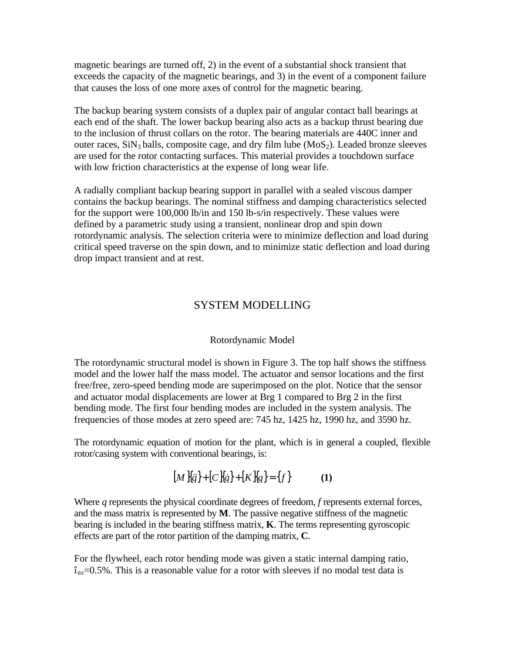magnetic bearings are turned off, 2) in the event of a substantial shock transient that exceeds the capacity of the magnetic bearings, and 3) in the event of a component failure that causes the loss of one more axes of control for the magnetic bearing.

The backup bearing system consists of a duplex pair of angular contact ball bearings at each end of the shaft. The lower backup bearing also acts as a backup thrust bearing due to the inclusion of thrust collars on the rotor. The bearing materials are 440C inner and outer races,  $\text{SiN}_3$  balls, composite cage, and dry film lube ( $\text{MoS}_2$ ). Leaded bronze sleeves are used for the rotor contacting surfaces. This material provides a touchdown surface with low friction characteristics at the expense of long wear life.

A radially compliant backup bearing support in parallel with a sealed viscous damper contains the backup bearings. The nominal stiffness and damping characteristics selected for the support were 100,000 lb/in and 150 lb-s/in respectively. These values were defined by a parametric study using a transient, nonlinear drop and spin down rotordynamic analysis. The selection criteria were to minimize deflection and load during critical speed traverse on the spin down, and to minimize static deflection and load during drop impact transient and at rest.

## SYSTEM MODELLING

#### Rotordynamic Model

The rotordynamic structural model is shown in Figure 3. The top half shows the stiffness model and the lower half the mass model. The actuator and sensor locations and the first free/free, zero-speed bending mode are superimposed on the plot. Notice that the sensor and actuator modal displacements are lower at Brg 1 compared to Brg 2 in the first bending mode. The first four bending modes are included in the system analysis. The frequencies of those modes at zero speed are: 745 hz, 1425 hz, 1990 hz, and 3590 hz.

The rotordynamic equation of motion for the plant, which is in general a coupled, flexible rotor/casing system with conventional bearings, is:

$$
[M\,\{q\} + [C\,\{q\} + [K\,\{q\} = \{f\} \tag{1}
$$

Where *q* represents the physical coordinate degrees of freedom, *f* represents external forces, and the mass matrix is represented by **M**. The passive negative stiffness of the magnetic bearing is included in the bearing stiffness matrix, **K**. The terms representing gyroscopic effects are part of the rotor partition of the damping matrix, **C**.

For the flywheel, each rotor bending mode was given a static internal damping ratio,  $\hat{\mathbf{r}}_{ns}=0.5\%$ . This is a reasonable value for a rotor with sleeves if no modal test data is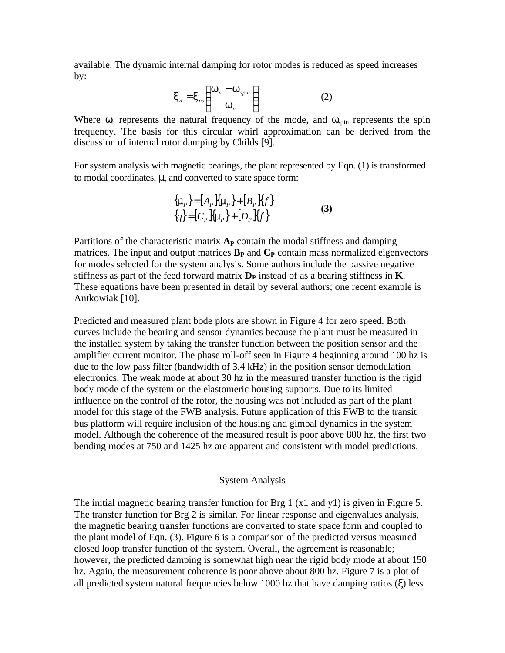available. The dynamic internal damping for rotor modes is reduced as speed increases by:

$$
\boldsymbol{X}_n = \boldsymbol{X}_{ns} \left( \frac{\boldsymbol{W}_n - \boldsymbol{W}_{spin}}{\boldsymbol{W}_n} \right) \tag{2}
$$

Where  $\omega_n$  represents the natural frequency of the mode, and  $\omega_{\text{spin}}$  represents the spin frequency. The basis for this circular whirl approximation can be derived from the discussion of internal rotor damping by Childs [9].

For system analysis with magnetic bearings, the plant represented by Eqn. (1) is transformed to modal coordinates, μ, and converted to state space form:

$$
\{\dot{\mathbf{m}}_{P}\} = [A_{P} \{ \mathbf{m}_{P} \} + [B_{P} \{ f \}]
$$
  
\n
$$
\{q\} = [C_{P} \{ \mathbf{m}_{P} \} + [D_{P} \{ f \}]
$$
 (3)

Partitions of the characteristic matrix  $A_P$  contain the modal stiffness and damping matrices. The input and output matrices  $\mathbf{B}_P$  and  $\mathbf{C}_P$  contain mass normalized eigenvectors for modes selected for the system analysis. Some authors include the passive negative stiffness as part of the feed forward matrix  $D<sub>P</sub>$  instead of as a bearing stiffness in **K**. These equations have been presented in detail by several authors; one recent example is Antkowiak [10].

Predicted and measured plant bode plots are shown in Figure 4 for zero speed. Both curves include the bearing and sensor dynamics because the plant must be measured in the installed system by taking the transfer function between the position sensor and the amplifier current monitor. The phase roll-off seen in Figure 4 beginning around 100 hz is due to the low pass filter (bandwidth of 3.4 kHz) in the position sensor demodulation electronics. The weak mode at about 30 hz in the measured transfer function is the rigid body mode of the system on the elastomeric housing supports. Due to its limited influence on the control of the rotor, the housing was not included as part of the plant model for this stage of the FWB analysis. Future application of this FWB to the transit bus platform will require inclusion of the housing and gimbal dynamics in the system model. Although the coherence of the measured result is poor above 800 hz, the first two bending modes at 750 and 1425 hz are apparent and consistent with model predictions.

### System Analysis

The initial magnetic bearing transfer function for Brg 1 (x1 and y1) is given in Figure 5. The transfer function for Brg 2 is similar. For linear response and eigenvalues analysis, the magnetic bearing transfer functions are converted to state space form and coupled to the plant model of Eqn. (3). Figure 6 is a comparison of the predicted versus measured closed loop transfer function of the system. Overall, the agreement is reasonable; however, the predicted damping is somewhat high near the rigid body mode at about 150 hz. Again, the measurement coherence is poor above about 800 hz. Figure 7 is a plot of all predicted system natural frequencies below 1000 hz that have damping ratios  $(\xi)$  less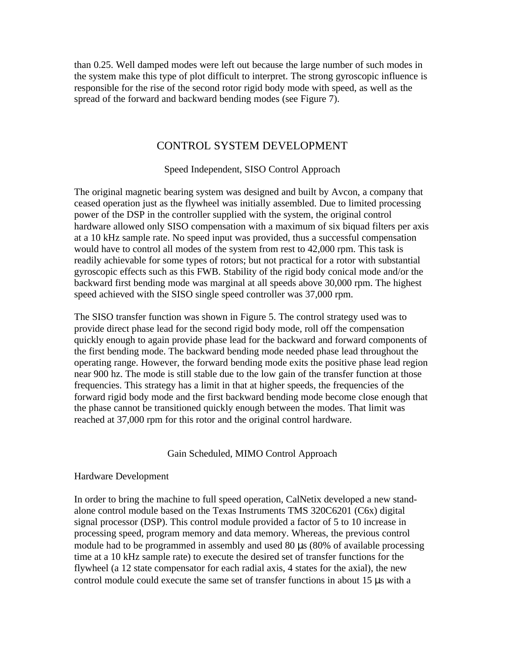than 0.25. Well damped modes were left out because the large number of such modes in the system make this type of plot difficult to interpret. The strong gyroscopic influence is responsible for the rise of the second rotor rigid body mode with speed, as well as the spread of the forward and backward bending modes (see Figure 7).

## CONTROL SYSTEM DEVELOPMENT

Speed Independent, SISO Control Approach

The original magnetic bearing system was designed and built by Avcon, a company that ceased operation just as the flywheel was initially assembled. Due to limited processing power of the DSP in the controller supplied with the system, the original control hardware allowed only SISO compensation with a maximum of six biquad filters per axis at a 10 kHz sample rate. No speed input was provided, thus a successful compensation would have to control all modes of the system from rest to 42,000 rpm. This task is readily achievable for some types of rotors; but not practical for a rotor with substantial gyroscopic effects such as this FWB. Stability of the rigid body conical mode and/or the backward first bending mode was marginal at all speeds above 30,000 rpm. The highest speed achieved with the SISO single speed controller was 37,000 rpm.

The SISO transfer function was shown in Figure 5. The control strategy used was to provide direct phase lead for the second rigid body mode, roll off the compensation quickly enough to again provide phase lead for the backward and forward components of the first bending mode. The backward bending mode needed phase lead throughout the operating range. However, the forward bending mode exits the positive phase lead region near 900 hz. The mode is still stable due to the low gain of the transfer function at those frequencies. This strategy has a limit in that at higher speeds, the frequencies of the forward rigid body mode and the first backward bending mode become close enough that the phase cannot be transitioned quickly enough between the modes. That limit was reached at 37,000 rpm for this rotor and the original control hardware.

## Gain Scheduled, MIMO Control Approach

## Hardware Development

In order to bring the machine to full speed operation, CalNetix developed a new standalone control module based on the Texas Instruments TMS 320C6201 (C6x) digital signal processor (DSP). This control module provided a factor of 5 to 10 increase in processing speed, program memory and data memory. Whereas, the previous control module had to be programmed in assembly and used 80 μs (80% of available processing time at a 10 kHz sample rate) to execute the desired set of transfer functions for the flywheel (a 12 state compensator for each radial axis, 4 states for the axial), the new control module could execute the same set of transfer functions in about 15 μs with a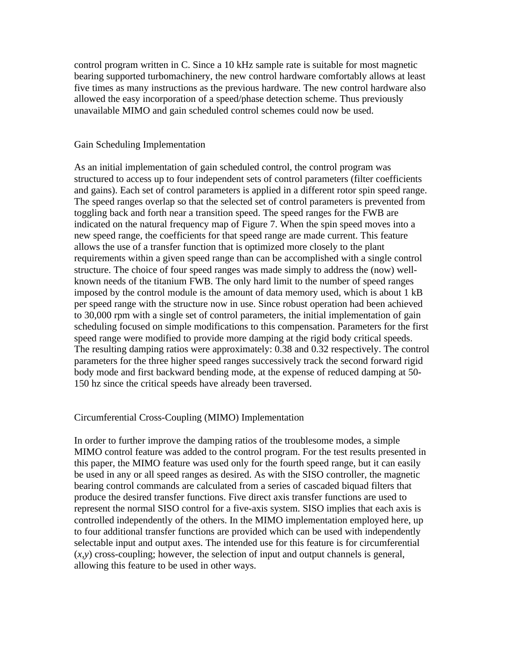control program written in C. Since a 10 kHz sample rate is suitable for most magnetic bearing supported turbomachinery, the new control hardware comfortably allows at least five times as many instructions as the previous hardware. The new control hardware also allowed the easy incorporation of a speed/phase detection scheme. Thus previously unavailable MIMO and gain scheduled control schemes could now be used.

#### Gain Scheduling Implementation

As an initial implementation of gain scheduled control, the control program was structured to access up to four independent sets of control parameters (filter coefficients and gains). Each set of control parameters is applied in a different rotor spin speed range. The speed ranges overlap so that the selected set of control parameters is prevented from toggling back and forth near a transition speed. The speed ranges for the FWB are indicated on the natural frequency map of Figure 7. When the spin speed moves into a new speed range, the coefficients for that speed range are made current. This feature allows the use of a transfer function that is optimized more closely to the plant requirements within a given speed range than can be accomplished with a single control structure. The choice of four speed ranges was made simply to address the (now) wellknown needs of the titanium FWB. The only hard limit to the number of speed ranges imposed by the control module is the amount of data memory used, which is about 1 kB per speed range with the structure now in use. Since robust operation had been achieved to 30,000 rpm with a single set of control parameters, the initial implementation of gain scheduling focused on simple modifications to this compensation. Parameters for the first speed range were modified to provide more damping at the rigid body critical speeds. The resulting damping ratios were approximately: 0.38 and 0.32 respectively. The control parameters for the three higher speed ranges successively track the second forward rigid body mode and first backward bending mode, at the expense of reduced damping at 50- 150 hz since the critical speeds have already been traversed.

#### Circumferential Cross-Coupling (MIMO) Implementation

In order to further improve the damping ratios of the troublesome modes, a simple MIMO control feature was added to the control program. For the test results presented in this paper, the MIMO feature was used only for the fourth speed range, but it can easily be used in any or all speed ranges as desired. As with the SISO controller, the magnetic bearing control commands are calculated from a series of cascaded biquad filters that produce the desired transfer functions. Five direct axis transfer functions are used to represent the normal SISO control for a five-axis system. SISO implies that each axis is controlled independently of the others. In the MIMO implementation employed here, up to four additional transfer functions are provided which can be used with independently selectable input and output axes. The intended use for this feature is for circumferential (*x,y*) cross-coupling; however, the selection of input and output channels is general, allowing this feature to be used in other ways.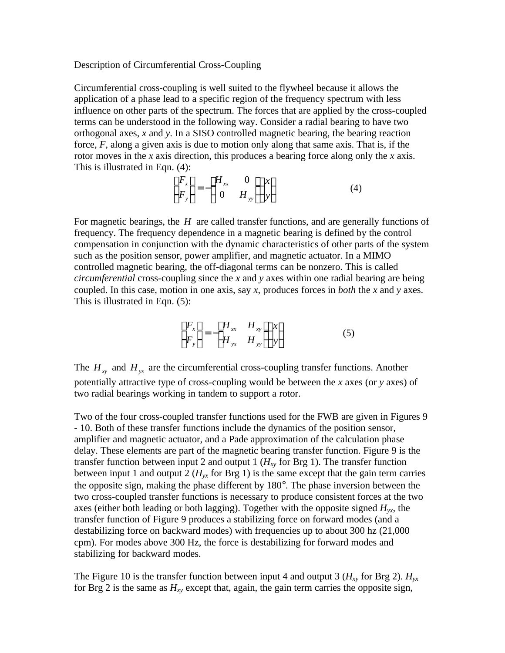#### Description of Circumferential Cross-Coupling

Circumferential cross-coupling is well suited to the flywheel because it allows the application of a phase lead to a specific region of the frequency spectrum with less influence on other parts of the spectrum. The forces that are applied by the cross-coupled terms can be understood in the following way. Consider a radial bearing to have two orthogonal axes, *x* and *y*. In a SISO controlled magnetic bearing, the bearing reaction force, *F*, along a given axis is due to motion only along that same axis. That is, if the rotor moves in the *x* axis direction, this produces a bearing force along only the *x* axis. This is illustrated in Eqn. (4):

$$
\begin{Bmatrix} F_x \\ F_y \end{Bmatrix} = - \begin{bmatrix} H_{xx} & 0 \\ 0 & H_{yy} \end{bmatrix} \begin{Bmatrix} x \\ y \end{Bmatrix}
$$
 (4)

For magnetic bearings, the *H* are called transfer functions, and are generally functions of frequency. The frequency dependence in a magnetic bearing is defined by the control compensation in conjunction with the dynamic characteristics of other parts of the system such as the position sensor, power amplifier, and magnetic actuator. In a MIMO controlled magnetic bearing, the off-diagonal terms can be nonzero. This is called *circumferential* cross-coupling since the *x* and *y* axes within one radial bearing are being coupled. In this case, motion in one axis, say *x*, produces forces in *both* the *x* and *y* axes. This is illustrated in Eqn. (5):

$$
\begin{Bmatrix} F_x \\ F_y \end{Bmatrix} = - \begin{bmatrix} H_{xx} & H_{xy} \\ H_{yx} & H_{yy} \end{bmatrix} \begin{Bmatrix} x \\ y \end{Bmatrix}
$$
 (5)

The  $H_{xy}$  and  $H_{yx}$  are the circumferential cross-coupling transfer functions. Another potentially attractive type of cross-coupling would be between the *x* axes (or *y* axes) of two radial bearings working in tandem to support a rotor.

Two of the four cross-coupled transfer functions used for the FWB are given in Figures 9 - 10. Both of these transfer functions include the dynamics of the position sensor, amplifier and magnetic actuator, and a Pade approximation of the calculation phase delay. These elements are part of the magnetic bearing transfer function. Figure 9 is the transfer function between input 2 and output 1 ( $H_{xy}$  for Brg 1). The transfer function between input 1 and output 2 ( $H<sub>yx</sub>$  for Brg 1) is the same except that the gain term carries the opposite sign, making the phase different by 180°. The phase inversion between the two cross-coupled transfer functions is necessary to produce consistent forces at the two axes (either both leading or both lagging). Together with the opposite signed  $H_{vr}$ , the transfer function of Figure 9 produces a stabilizing force on forward modes (and a destabilizing force on backward modes) with frequencies up to about 300 hz (21,000 cpm). For modes above 300 Hz, the force is destabilizing for forward modes and stabilizing for backward modes.

The Figure 10 is the transfer function between input 4 and output 3 ( $H_{xy}$  for Brg 2).  $H_{yx}$ for Brg 2 is the same as *Hxy* except that, again, the gain term carries the opposite sign,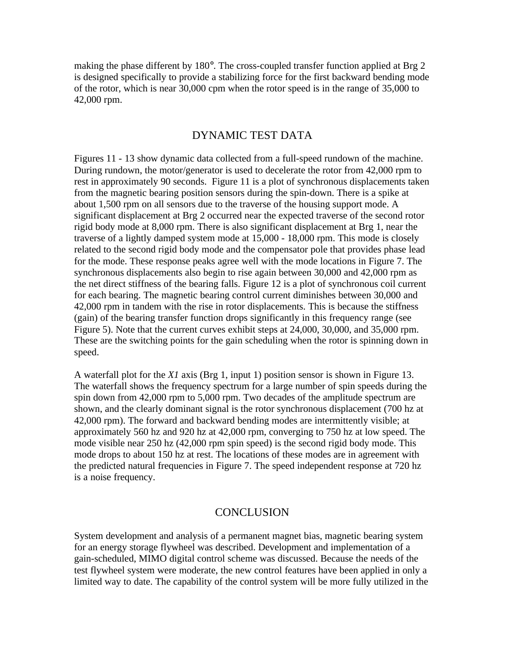making the phase different by 180°. The cross-coupled transfer function applied at Brg 2 is designed specifically to provide a stabilizing force for the first backward bending mode of the rotor, which is near 30,000 cpm when the rotor speed is in the range of 35,000 to 42,000 rpm.

## DYNAMIC TEST DATA

Figures 11 - 13 show dynamic data collected from a full-speed rundown of the machine. During rundown, the motor/generator is used to decelerate the rotor from 42,000 rpm to rest in approximately 90 seconds. Figure 11 is a plot of synchronous displacements taken from the magnetic bearing position sensors during the spin-down. There is a spike at about 1,500 rpm on all sensors due to the traverse of the housing support mode. A significant displacement at Brg 2 occurred near the expected traverse of the second rotor rigid body mode at 8,000 rpm. There is also significant displacement at Brg 1, near the traverse of a lightly damped system mode at 15,000 - 18,000 rpm. This mode is closely related to the second rigid body mode and the compensator pole that provides phase lead for the mode. These response peaks agree well with the mode locations in Figure 7. The synchronous displacements also begin to rise again between 30,000 and 42,000 rpm as the net direct stiffness of the bearing falls. Figure 12 is a plot of synchronous coil current for each bearing. The magnetic bearing control current diminishes between 30,000 and 42,000 rpm in tandem with the rise in rotor displacements. This is because the stiffness (gain) of the bearing transfer function drops significantly in this frequency range (see Figure 5). Note that the current curves exhibit steps at 24,000, 30,000, and 35,000 rpm. These are the switching points for the gain scheduling when the rotor is spinning down in speed.

A waterfall plot for the *X1* axis (Brg 1, input 1) position sensor is shown in Figure 13. The waterfall shows the frequency spectrum for a large number of spin speeds during the spin down from 42,000 rpm to 5,000 rpm. Two decades of the amplitude spectrum are shown, and the clearly dominant signal is the rotor synchronous displacement (700 hz at 42,000 rpm). The forward and backward bending modes are intermittently visible; at approximately 560 hz and 920 hz at 42,000 rpm, converging to 750 hz at low speed. The mode visible near 250 hz (42,000 rpm spin speed) is the second rigid body mode. This mode drops to about 150 hz at rest. The locations of these modes are in agreement with the predicted natural frequencies in Figure 7. The speed independent response at 720 hz is a noise frequency.

## **CONCLUSION**

System development and analysis of a permanent magnet bias, magnetic bearing system for an energy storage flywheel was described. Development and implementation of a gain-scheduled, MIMO digital control scheme was discussed. Because the needs of the test flywheel system were moderate, the new control features have been applied in only a limited way to date. The capability of the control system will be more fully utilized in the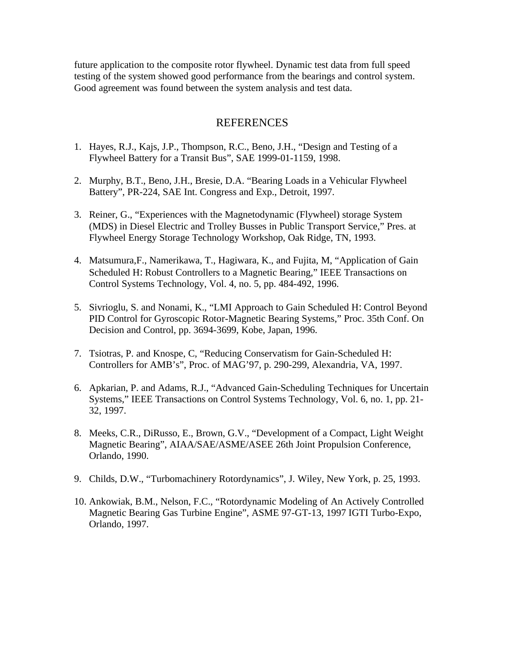future application to the composite rotor flywheel. Dynamic test data from full speed testing of the system showed good performance from the bearings and control system. Good agreement was found between the system analysis and test data.

## REFERENCES

- 1. Hayes, R.J., Kajs, J.P., Thompson, R.C., Beno, J.H., "Design and Testing of a Flywheel Battery for a Transit Bus", SAE 1999-01-1159, 1998.
- 2. Murphy, B.T., Beno, J.H., Bresie, D.A. "Bearing Loads in a Vehicular Flywheel Battery", PR-224, SAE Int. Congress and Exp., Detroit, 1997.
- 3. Reiner, G., "Experiences with the Magnetodynamic (Flywheel) storage System (MDS) in Diesel Electric and Trolley Busses in Public Transport Service," Pres. at Flywheel Energy Storage Technology Workshop, Oak Ridge, TN, 1993.
- 4. Matsumura,F., Namerikawa, T., Hagiwara, K., and Fujita, M, "Application of Gain Scheduled H: Robust Controllers to a Magnetic Bearing," IEEE Transactions on Control Systems Technology, Vol. 4, no. 5, pp. 484-492, 1996.
- 5. Sivrioglu, S. and Nonami, K., "LMI Approach to Gain Scheduled H: Control Beyond PID Control for Gyroscopic Rotor-Magnetic Bearing Systems," Proc. 35th Conf. On Decision and Control, pp. 3694-3699, Kobe, Japan, 1996.
- 7. Tsiotras, P. and Knospe, C, "Reducing Conservatism for Gain-Scheduled H: Controllers for AMB's", Proc. of MAG'97, p. 290-299, Alexandria, VA, 1997.
- 6. Apkarian, P. and Adams, R.J., "Advanced Gain-Scheduling Techniques for Uncertain Systems," IEEE Transactions on Control Systems Technology, Vol. 6, no. 1, pp. 21- 32, 1997.
- 8. Meeks, C.R., DiRusso, E., Brown, G.V., "Development of a Compact, Light Weight Magnetic Bearing", AIAA/SAE/ASME/ASEE 26th Joint Propulsion Conference, Orlando, 1990.
- 9. Childs, D.W., "Turbomachinery Rotordynamics", J. Wiley, New York, p. 25, 1993.
- 10. Ankowiak, B.M., Nelson, F.C., "Rotordynamic Modeling of An Actively Controlled Magnetic Bearing Gas Turbine Engine", ASME 97-GT-13, 1997 IGTI Turbo-Expo, Orlando, 1997.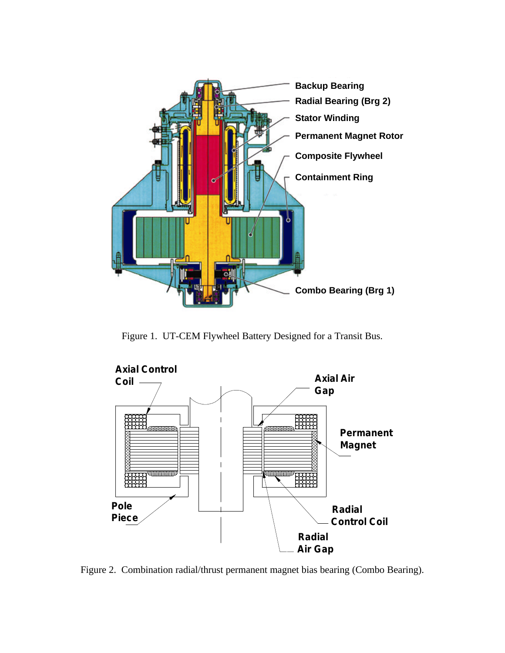

Figure 1. UT-CEM Flywheel Battery Designed for a Transit Bus.



Figure 2. Combination radial/thrust permanent magnet bias bearing (Combo Bearing).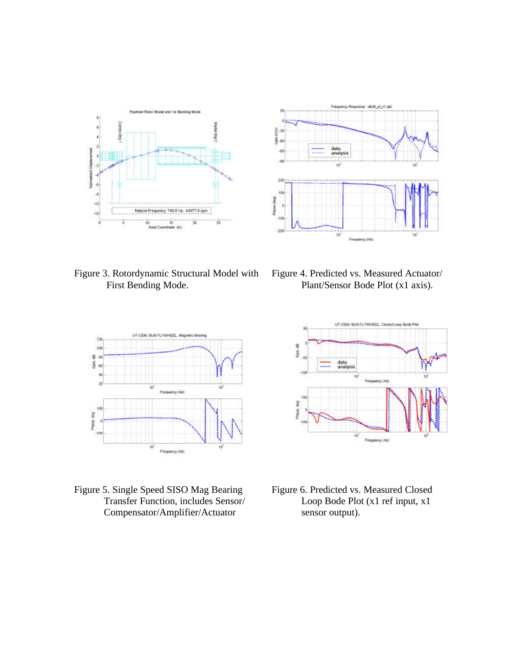



Figure 3. Rotordynamic Structural Model with First Bending Mode.

Figure 4. Predicted vs. Measured Actuator/ Plant/Sensor Bode Plot (x1 axis).



Figure 5. Single Speed SISO Mag Bearing Transfer Function, includes Sensor/ Compensator/Amplifier/Actuator



Figure 6. Predicted vs. Measured Closed Loop Bode Plot (x1 ref input, x1 sensor output).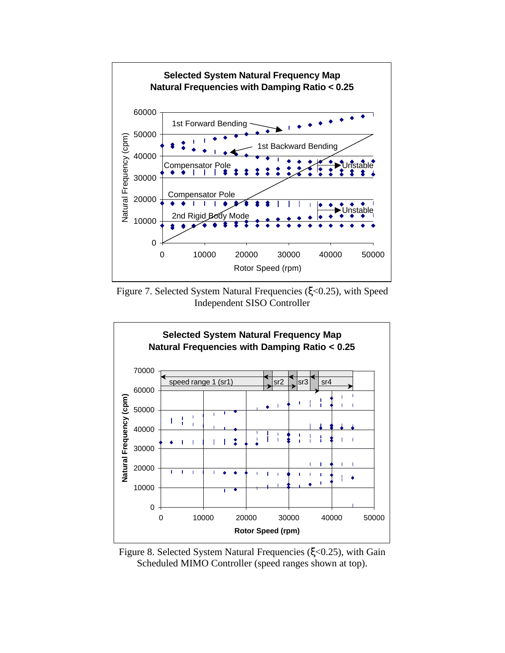

Figure 7. Selected System Natural Frequencies (ξ<0.25), with Speed Independent SISO Controller



Figure 8. Selected System Natural Frequencies (ξ<0.25), with Gain Scheduled MIMO Controller (speed ranges shown at top).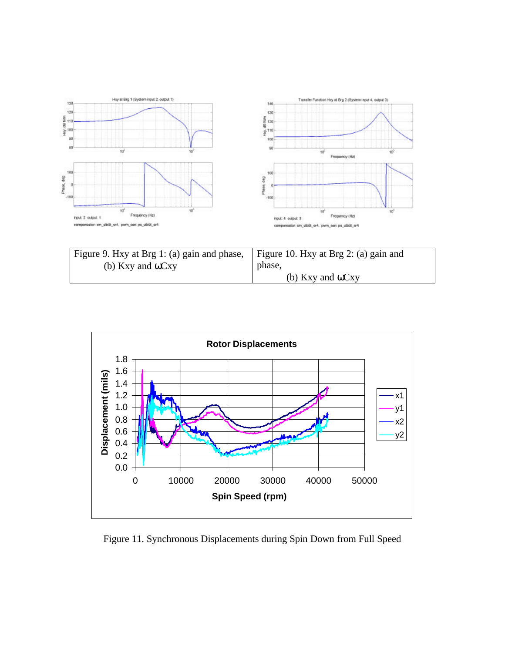

| Figure 9. Hxy at Brg 1: (a) gain and phase, Figure 10. Hxy at Brg 2: (a) gain and |                          |
|-----------------------------------------------------------------------------------|--------------------------|
| (b) Kxy and $\omega$ Cxy                                                          | phase.                   |
|                                                                                   | (b) Kxy and $\omega$ Cxy |



Figure 11. Synchronous Displacements during Spin Down from Full Speed